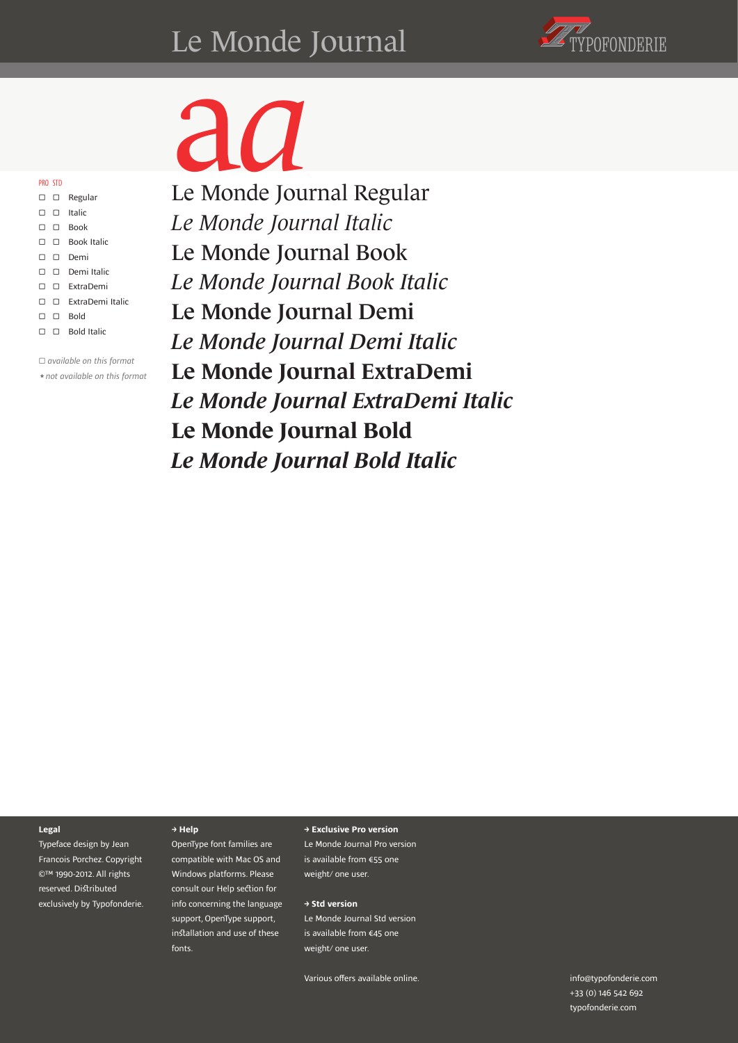#### Le Monde Journal Christiene



□ □ Regular PRO STD

|    | U U NESUIDI                     |
|----|---------------------------------|
|    | $\square$ $\square$ Italic      |
|    | $\square$ $\square$ Book        |
|    | $\square$ $\square$ Book Italic |
|    | $\square$ $\square$ Demi        |
|    | $\square$ $\square$ Demi Italic |
|    | $\square$ $\square$ ExtraDemi   |
| П. | □ ExtraDemi Italic              |
| П. | $\Box$ Bold                     |
| 0  | $\Box$ Bold Italic              |

□ *available on this format ★not available on this format*

a *a* Le Monde Journal Regular *Le Monde Journal Italic* Le Monde Journal Book *Le Monde Journal Book Italic* Le Monde Journal Demi *Le Monde Journal Demi Italic* Le Monde Journal ExtraDemi *Le Monde Journal ExtraDemi Italic* **Le Monde Journal Bold**

*Le Monde Journal Bold Italic*

#### **Legal**

Typeface design by Jean Francois Porchez. Copyright ©™ 1990-2012. All rights reserved. Distributed exclusively by Typofonderie.

#### **→ Help**

OpenType font families are compatible with Mac OS and Windows platforms. Please consult our Help section for info concerning the language support, OpenType support, installation and use of these fonts.

#### **→ Exclusive Pro version**

Le Monde Journal Pro version is available from €55 one weight/ one user.

#### **→ Std version**

Le Monde Journal Std version is available from €45 one weight/ one user.

Various offers available online.

typofonderie.com info@typofonderie.com +33 (0) 146 542 692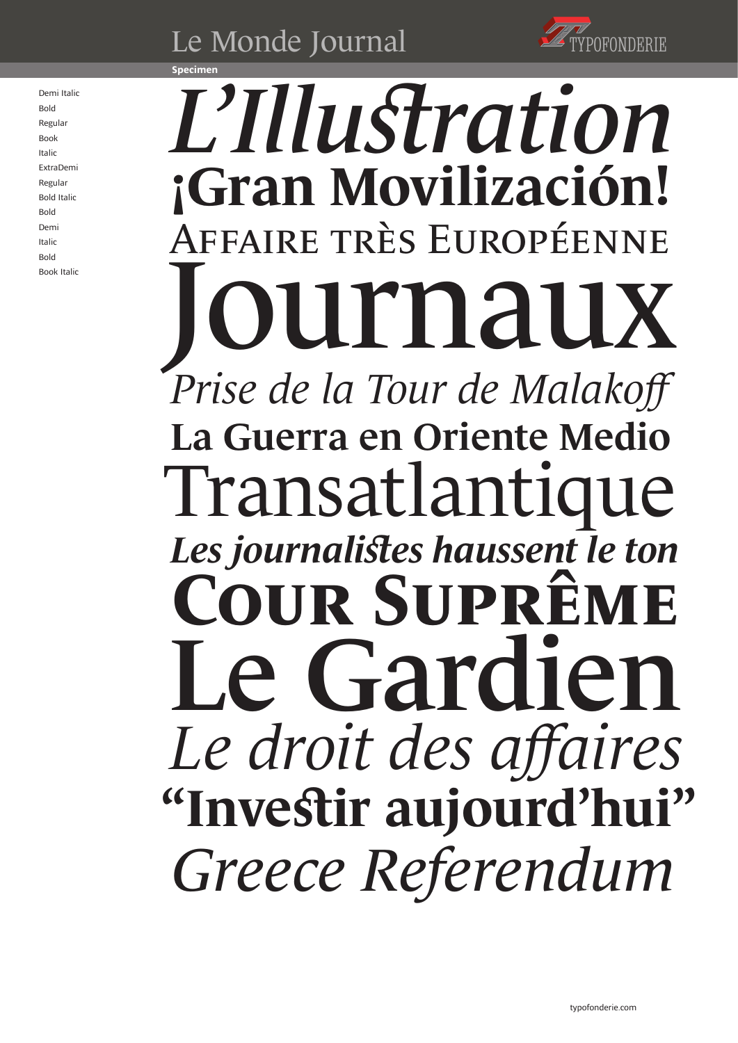



#### **Specimen**

Demi Italic Bold Regular Book Italic ExtraDemi Regular Bold Italic Bold Demi Italic Bold Book Italic

# *L'Illustration* **ran Movilizació**! Affaire très Européenne rnauz *Prise de la Tour de Malakoff* La Guerra en Oriente Medio Transatlant *Les journalistes haussent le ton* **UR SUP** Le Gard *Le droit des affaires* **"Investir aujourd'hui"** *Greece Referendum*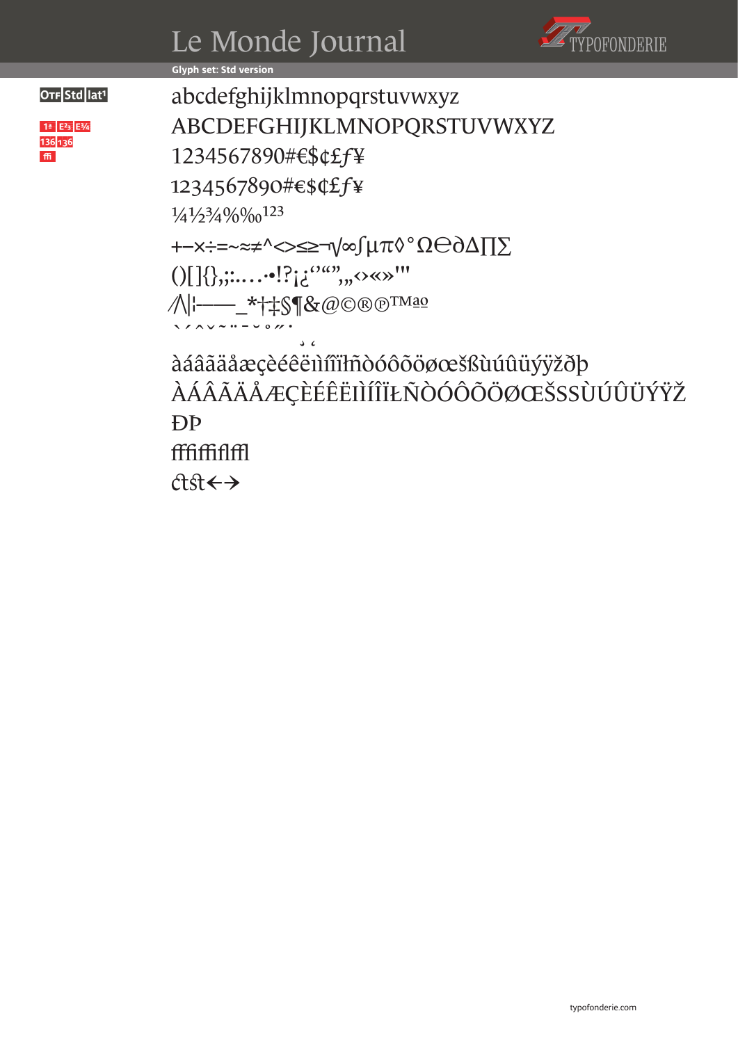



**Glyph set: Std version**

 $1^a$  E<sup>2</sup><sub>3</sub> E<sup>3</sup>/<sub>4</sub> 136 136 m

OTF Stdlat<sup>1</sup> abcdefghijklmnopqrstuvwxyz ABCDEFGHIJKLMNOPQRSTUVWXYZ 1234567890#€\$¢£ƒ¥ 1234567890#€\$¢£ƒ¥ 1/41/23/4%%% +−×÷=~≈≠^<>≤≥¬√∞∫µπ◊°Ω℮∂∆∏∑  $($ )[]{},;:..........]? $i^{\alpha\alpha}$ ,,, $\diamond\ll$ »'" ⁄\|¦-----\_\*†‡§¶&@©®®™ªº `´ˆˇ˜¨¯˘˚˝˙¸˛ àáâãäåæçèéêëıìíîïłñòóôõöøœšßùúûüýÿžðþ ÀÁÂÃÄÅÆÇÈÉÊËIÌÍÎÏŁÑÒÓÔÕÖØŒŠSSÙÚÛÜÝŸŽ ÐÞ fffiffiflffl st→←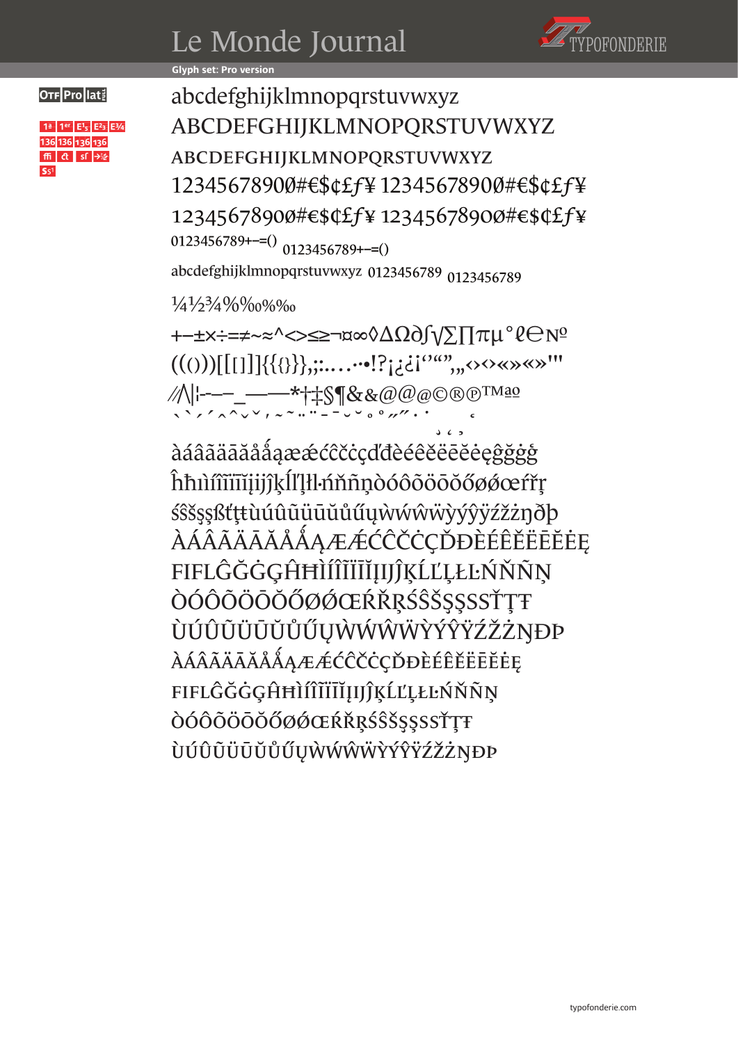## Le Monde Journal



#### **Glyph set: Pro version**

 $1^a$  1<sup>er</sup>  $E^1$ <sub>5</sub>  $E^2$ <sub>3</sub>  $E^3$ /<sub>4</sub> 136 136 136 136  $m$  ct sf  $\rightarrow$  $S<sub>1</sub>$ 

OTF Prolat! abcdefghijklmnopqrstuvwxyz ABCDEFGHIJKLMNOPQRSTUVWXYZ abcdefghijklmnopqrstuvwxyz 12345678900#€\$¢£ƒ¥ 12345678900#€\$¢£ƒ¥ 12345678900#€\$¢£ƒ¥ 12345678900#€\$¢£ƒ¥  $0123456789^{+-=()}$  0123456789 + -= () abcdefghijklmnopqrstuvwxyz 0123456789 0123456789

¼½¾%‰%‰

+−±×÷=≠~≈^<>≤≥¬¤∞◊∆Ω∂∫√∑∏πµ°ℓ℮№ ((()))[[[]]]{{{}}},;:.…··•!?¡¿¿¡''""'"‹›‹›«»«»'" ⁄/\|¦----\_----\*†‡§¶&&@@@©®®™ªº `´ˆˇ̕˜¨¯˘˚˝˙¸˛̦ʻ

àáâãäāăåǻąæǽćĉčċçďđèéêěëēĕėęĝğġģ ĥħıìíîïïīĭjijĵķĺľļłŀńňñņòóôõöōŏőøǿœŕřŗ śŝšşșßťţŧùúûũüūŭůűųẁẃŵẅỳýŷÿźžżŋðþ ÀÁÂÃÄĀĂÅǺĄÆǼĆĈČĊÇĎĐÈÉÊĚËĒĔĖĘ **FIFLĜĞĠĢĤĦÌÍÎĨĨĨĬĮIJĴĶĹĽĻŁĿŃŇÑŅ** ÒÓÔÕÖŌŎŐØØŒŔŘRŚŜŠŞSSSŤTŦ ÙÚÛŨÜŪŬŮŰŲẀẂŴẄỲÝŶŸŹŽŻŊÐÞ àáâãäāăåǻąæǽćĉčċçďđèéêěëēĕėę **FIFLĜĞĠĢĤĦÌÍÎĨĨĨĬĮIJĴĶĹĽĻŁĿŃŇÑŅ** òóôõöōŏőøǿœŕřŗśŝšşșßťţŧ ùúûũüūŭůűųẁẃŵẅỳýŷÿźžżŋðÞ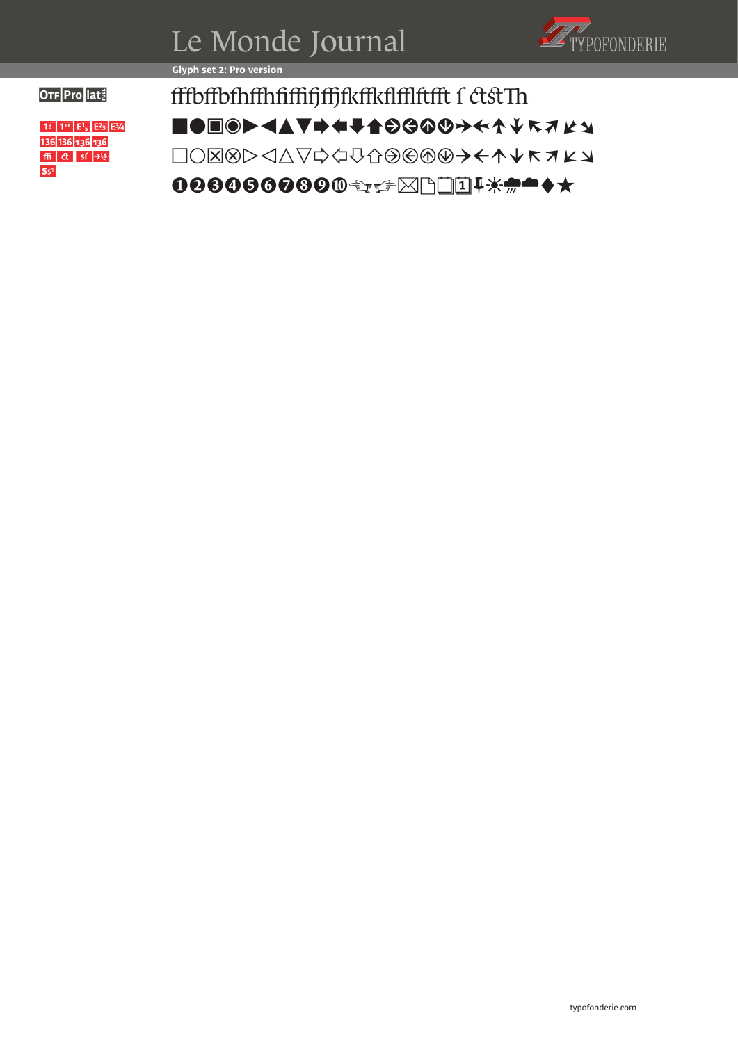

**Glyph set 2: Pro version** 

 $1^a$  1<sup>er</sup>  $E^1$ <sub>5</sub>  $E^2$ <sub>3</sub>  $E^3$ /<sub>4</sub> 136 136 136 136  $\left| \text{ffi} \right|$   $\text{cf }$   $\rightarrow$  $S<sub>51</sub>$ 

OTE Prolati fffbffbfhffhfiffifjffjfkffkflfflftfft f ctstTh  $\blacksquare$ ede $\blacktriangleright$  defatosop $\rightarrow$ ABCDEFGHIJKLMNOPQRSTUVWX 00806000€₹≠≥⊠™™<del>↓\*\*</del>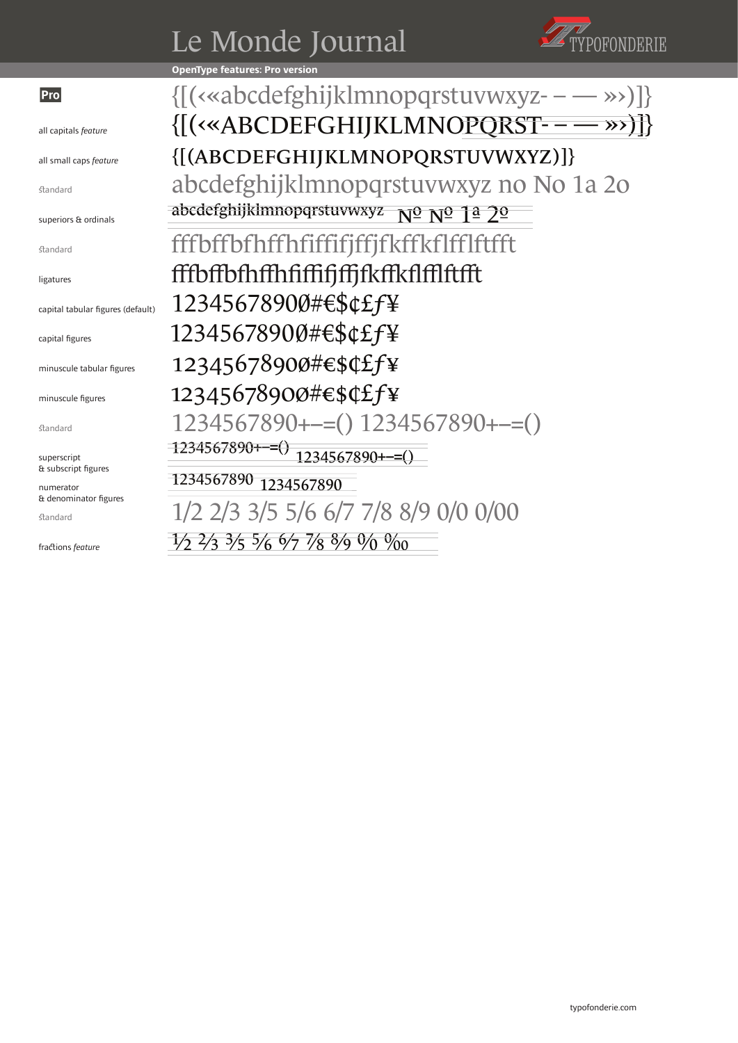## Le Monde Journal



**OpenType features: Pro version**

#### Pro

all capitals *feature*

all small caps *feature* 

standard

superiors & ordinals

standard

ligatures

capital tabular figures (default)

capital figures

minuscule tabular figures

minuscule figures

standard

superscript & subscript figures

numerator & denominator figures

standard

fractions *feature*

{[(‹«abcdefghijklmnopqrstuvwxyz- – — »›)]} {[(‹«ABCDEFGHIJKLMNOPQRST- – — »›)]} {[(abcdefghijklmnopqrstuvwxyz)]} abcdefghijklmnopqrstuvwxyz no No 1a 2o abcdefghijklmnopqrstuvwxyz  $N^{\Omega}$   $N^{\Omega}$  1ª 2<sup>o</sup> fffbffbfhffhfiffifjffjfkffkflfflftfft fffbffbfhffhfiffifjffjfkffkflfflftfft 12345678900#€\$¢£ƒ¥ 12345678900#€\$¢£ƒ¥ 12345678900#€\$¢£ƒ¥ 12345678900#€\$¢£ƒ¥ 1234567890+−=() 1234567890+−=() 1234567890+−=() 1234567890+−=() 1234567890 1234567890 1/2 2/3 3/5 5/6 6/7 7/8 8/9 0/0 0/00

1/2 2/3 3/5 5/6 6/7 7/8 8/9 0/0 ‰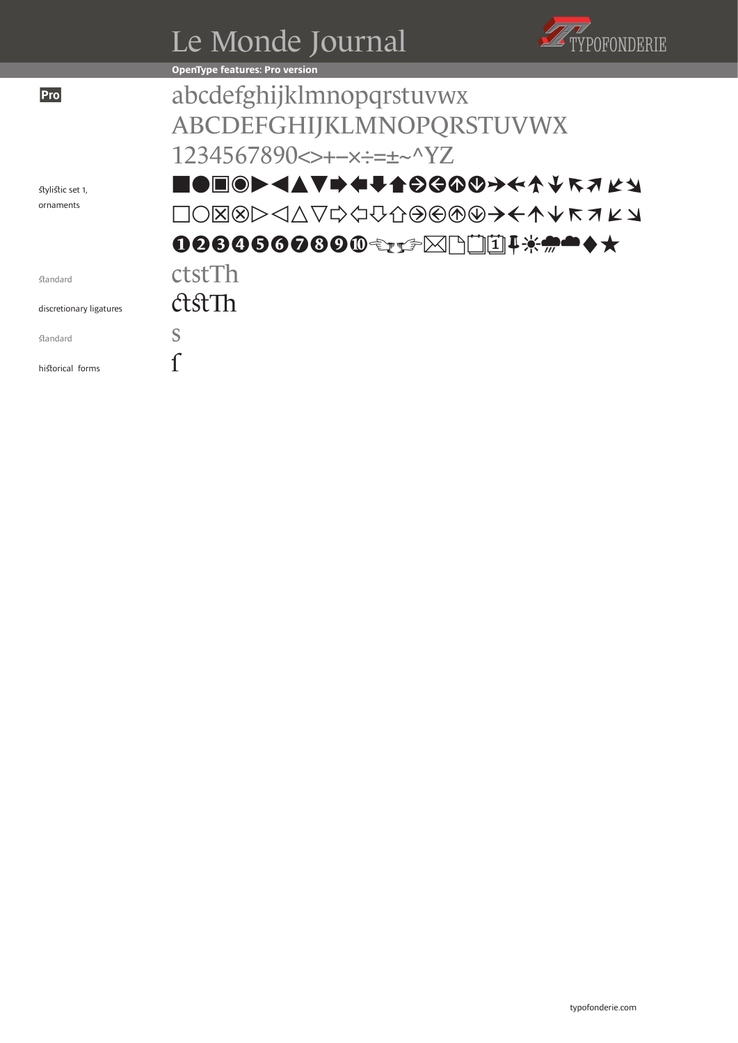|                         | Le Monde Journal                         |  |
|-------------------------|------------------------------------------|--|
|                         | <b>OpenType features: Pro version</b>    |  |
| Pro                     | abcdefghijklmnopqrstuvwx                 |  |
|                         | ABCDEFGHIJKLMNOPQRSTUVWX                 |  |
|                         | $1234567890 \L + -x \div = + -^N YZ$     |  |
| stylistic set 1,        | <b>▋●▣◎▶◀▲▼➡♦╄╆⊝Ĝ<b></b>@◎→←↑↓ጙヺヹゞ</b>   |  |
| ornaments               | <b>□○⊠⊗▷◁△▽☆</b> <del>⊙⊙⊙⊙⊙→←↑↓ĸ↗∠</del> |  |
|                         | <b>006060000€±£⊠NïI!*#****</b>           |  |
| standard                | ctstTh                                   |  |
| discretionary ligatures | AstTh                                    |  |
| standard                | S                                        |  |
| historical forms        |                                          |  |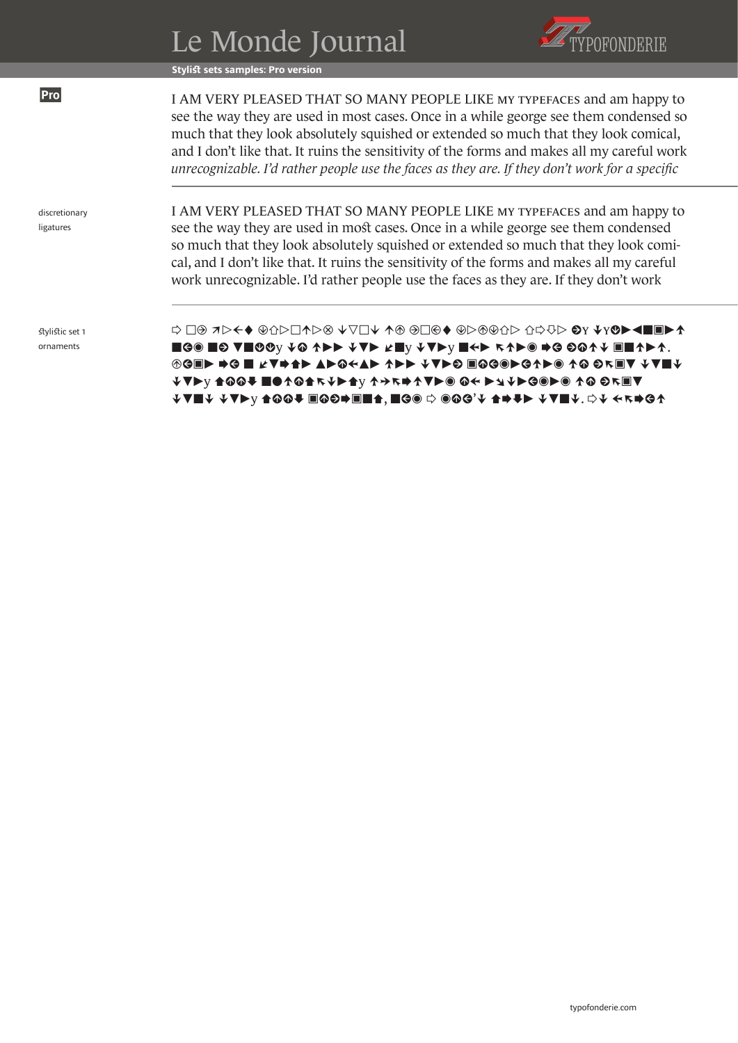|                              | Le Monde Journal                                                                                                                                                                                                                                                                                                                                                                                                                                        |
|------------------------------|---------------------------------------------------------------------------------------------------------------------------------------------------------------------------------------------------------------------------------------------------------------------------------------------------------------------------------------------------------------------------------------------------------------------------------------------------------|
|                              | <b>Stylist sets samples: Pro version</b>                                                                                                                                                                                                                                                                                                                                                                                                                |
| Pro                          | I AM VERY PLEASED THAT SO MANY PEOPLE LIKE MY TYPEFACES and am happy to<br>see the way they are used in most cases. Once in a while george see them condensed so<br>much that they look absolutely squished or extended so much that they look comical,<br>and I don't like that. It ruins the sensitivity of the forms and makes all my careful work<br>unrecognizable. I'd rather people use the faces as they are. If they don't work for a specific |
| discretionary<br>ligatures   | I AM VERY PLEASED THAT SO MANY PEOPLE LIKE MY TYPEFACES and am happy to<br>see the way they are used in most cases. Once in a while george see them condensed<br>so much that they look absolutely squished or extended so much that they look comi-<br>cal, and I don't like that. It ruins the sensitivity of the forms and makes all my careful<br>work unrecognizable. I'd rather people use the faces as they are. If they don't work              |
| stylistic set 1<br>ornaments | य ाा तरहरू स्थान साथ ⊲दार पटाउस भाषा अना √ाए। ⊗प भाषा ♦ <del>३</del> पटाउस कर पटाउस <del>(</del><br>■G® ■Θ V■COY ↓@ ↑▶▶ ↓V▶ ∠■Y ↓V▶Y ■←▶ 斥↑▶® ➡⊖ ⊖@↑↓ ▣■↑▶↑.<br>◈GE▶ ➡G ■ ⊭V➡♠▶ ▲▶◎←▲▶ ↑▶▶ ↓V▶© ▣◎G®▶G↑▶◎ ↑◎ ◎↖▣V ↓V■↓<br>√▼▶♡ ▲⊙⊙♥ ■●↑⊙▲ĸ↓▶▲♡ ↑→ĸ➡↑▼▶◎ ⊙←▶↘↓▶G◎▶◎ ↑⊙ ⊝ĸ▣▼                                                                                                                                                                              |

that they look comical, and I don't like that. It ruins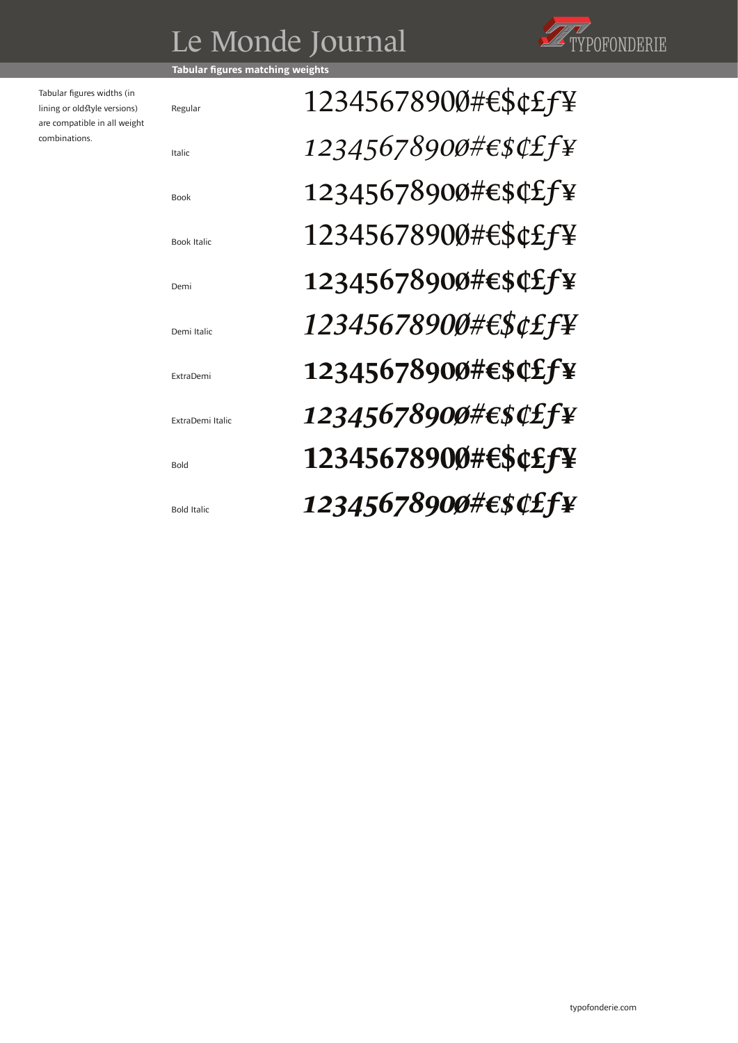## Le Monde Journal



**Tabular figures matching** 

Regular

Italic

Book

Demi

Book Italic

Demi Italic

ExtraDemi

Bold

Bold Italic

ExtraDemi Italic

Tabular figures widths (in lining or oldstyle versions) are compatible in all weight combinations.

12345678900#€\$¢£ƒ¥ *12345678900#€\$¢£ƒ¥* 12345678900#€\$¢£ƒ¥ 12345678900#€\$¢£ƒ¥ 12345678900#€\$¢£ƒ¥ *12345678900#€\$¢£ƒ¥*  12345678900#€\$¢£ƒ¥ *12345678900#€\$¢£ƒ¥*  **12345678900#€\$¢£ƒ¥** *12345678900#€\$¢£ƒ¥*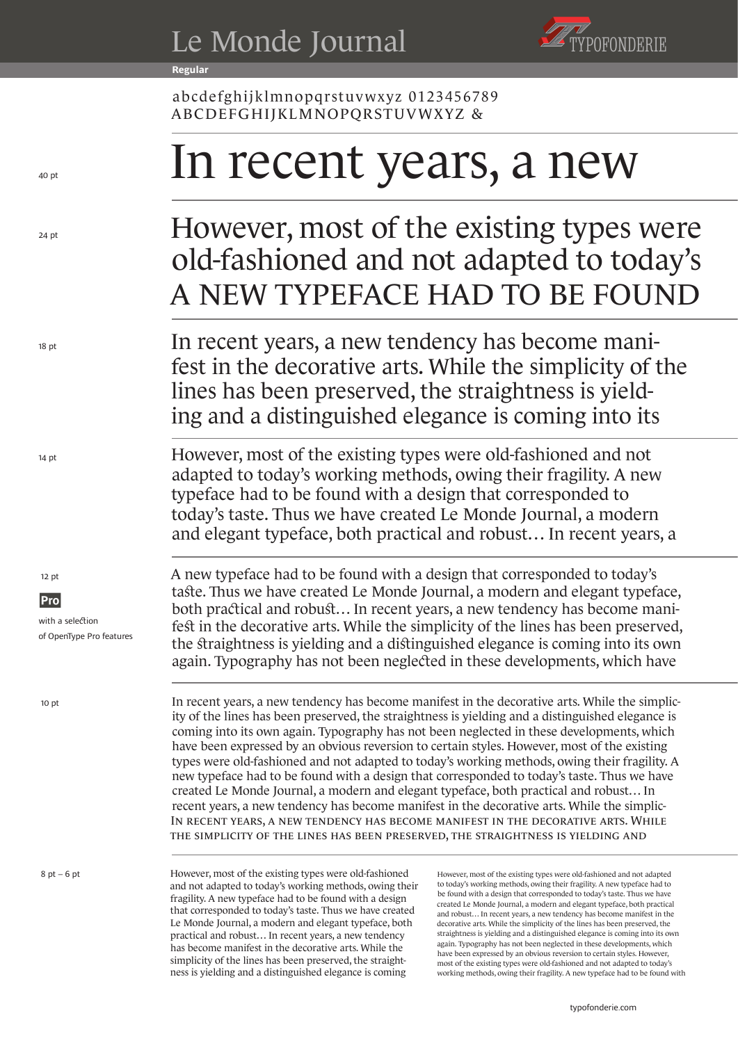**Regular**



abcdefghijklmnopqrstuvwxyz 0123456789 ABCDEFGHIJKLMNOPQRSTUVWXYZ &

# In recent years, a new

#### However, most of the existing types were old-fashioned and not adapted to today's A NEW TYPEFACE HAD TO BE FOUND

In recent years, a new tendency has become manifest in the decorative arts. While the simplicity of the lines has been preserved, the straightness is yielding and a distinguished elegance is coming into its

However, most of the existing types were old-fashioned and not adapted to today's working methods, owing their fragility. A new typeface had to be found with a design that corresponded to today's taste. Thus we have created Le Monde Journal, a modern and elegant typeface, both practical and robust… In recent years, a

A new typeface had to be found with a design that corresponded to today's taste. Thus we have created Le Monde Journal, a modern and elegant typeface, both practical and robust... In recent years, a new tendency has become manifest in the decorative arts. While the simplicity of the lines has been preserved, the straightness is yielding and a distinguished elegance is coming into its own again. Typography has not been neglected in these developments, which have

In recent years, a new tendency has become manifest in the decorative arts. While the simplicity of the lines has been preserved, the straightness is yielding and a distinguished elegance is coming into its own again. Typography has not been neglected in these developments, which have been expressed by an obvious reversion to certain styles. However, most of the existing types were old-fashioned and not adapted to today's working methods, owing their fragility. A new typeface had to be found with a design that corresponded to today's taste. Thus we have created Le Monde Journal, a modern and elegant typeface, both practical and robust… In recent years, a new tendency has become manifest in the decorative arts. While the simplic-In recent years, a new tendency has become manifest in the decorative arts. While the simplicity of the lines has been preserved, the straightness is yielding and

However, most of the existing types were old-fashioned and not adapted to today's working methods, owing their fragility. A new typeface had to be found with a design that corresponded to today's taste. Thus we have created Le Monde Journal, a modern and elegant typeface, both practical and robust… In recent years, a new tendency has become manifest in the decorative arts. While the simplicity of the lines has been preserved, the straightness is yielding and a distinguished elegance is coming

However, most of the existing types were old-fashioned and not adapted to today's working methods, owing their fragility. A new typeface had to be found with a design that corresponded to today's taste. Thus we have created Le Monde Journal, a modern and elegant typeface, both practical and robust… In recent years, a new tendency has become manifest in the decorative arts. While the simplicity of the lines has been preserved, the straightness is yielding and a distinguished elegance is coming into its own again. Typography has not been neglected in these developments, which have been expressed by an obvious reversion to certain styles. However, most of the existing types were old-fashioned and not adapted to today's working methods, owing their fragility. A new typeface had to be found with

12 pt

14 pt

18 pt

24 pt

 $40<sub>nt</sub>$ 

**Pro** with a selection of OpenType Pro features

10 pt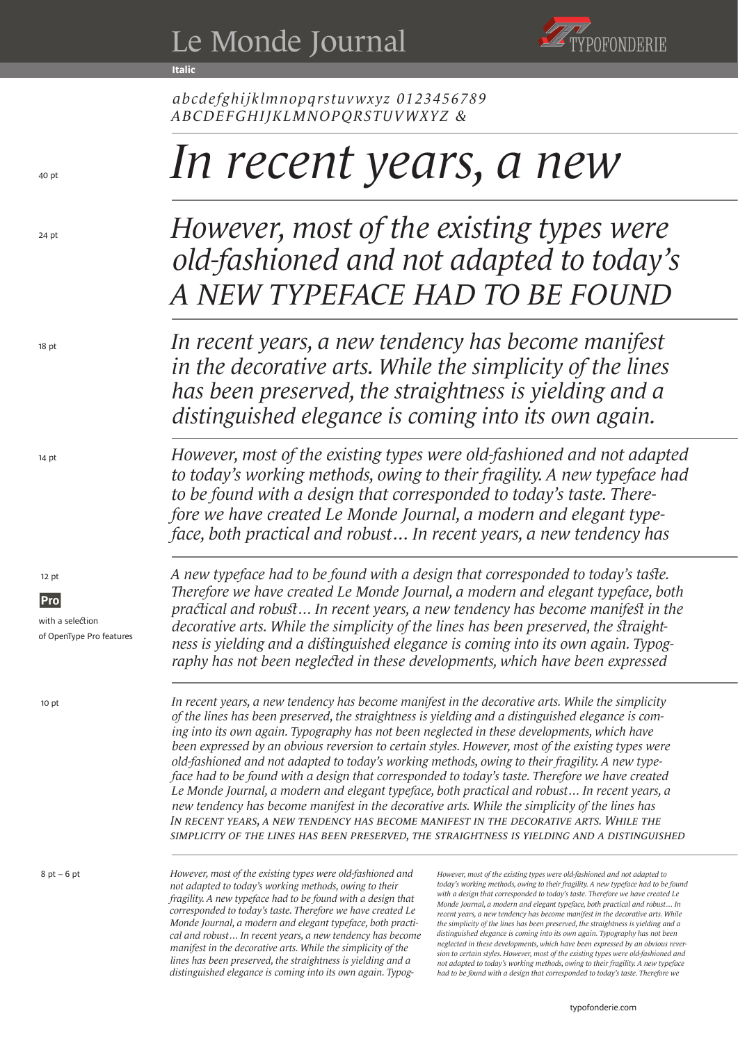**Italic**



*abcdefghijklmnopqrstuvwxyz 0123456789 ABCDEFGHIJKLMNOPQRSTUVWXYZ &*

## *In recent years, a new*

*A NEW TYPEFACE HAD TO BE FOUND However, most of the existing types were old-fashioned and not adapted to today's* 

*In recent years, a new tendency has become manifest in the decorative arts. While the simplicity of the lines has been preserved, the straightness is yielding and a distinguished elegance is coming into its own again.* 

*However, most of the existing types were old-fashioned and not adapted to today's working methods, owing to their fragility. A new typeface had to be found with a design that corresponded to today's taste. Therefore we have created Le Monde Journal, a modern and elegant typeface, both practical and robust… In recent years, a new tendency has* 

*A new typeface had to be found with a design that corresponded to today's taste. Therefore we have created Le Monde Journal, a modern and elegant typeface, both practical and robust… In recent years, a new tendency has become manifest in the decorative arts. While the simplicity of the lines has been preserved, the straightness is yielding and a distinguished elegance is coming into its own again. Typography has not been neglected in these developments, which have been expressed* 

*In recent years, a new tendency has become manifest in the decorative arts. While the simplicity of the lines has been preserved, the straightness is yielding and a distinguished In recent years, a new tendency has become manifest in the decorative arts. While the simplicity of the lines has been preserved, the straightness is yielding and a distinguished elegance is coming into its own again. Typography has not been neglected in these developments, which have been expressed by an obvious reversion to certain styles. However, most of the existing types were old-fashioned and not adapted to today's working methods, owing to their fragility. A new typeface had to be found with a design that corresponded to today's taste. Therefore we have created Le Monde Journal, a modern and elegant typeface, both practical and robust… In recent years, a new tendency has become manifest in the decorative arts. While the simplicity of the lines has* 

*However, most of the existing types were old-fashioned and not adapted to today's working methods, owing to their fragility. A new typeface had to be found with a design that corresponded to today's taste. Therefore we have created Le Monde Journal, a modern and elegant typeface, both practical and robust… In recent years, a new tendency has become manifest in the decorative arts. While the simplicity of the lines has been preserved, the straightness is yielding and a distinguished elegance is coming into its own again. Typog-* *However, most of the existing types were old-fashioned and not adapted to today's working methods, owing to their fragility. A new typeface had to be found with a design that corresponded to today's taste. Therefore we have created Le Monde Journal, a modern and elegant typeface, both practical and robust… In recent years, a new tendency has become manifest in the decorative arts. While the simplicity of the lines has been preserved, the straightness is yielding and a distinguished elegance is coming into its own again. Typography has not been neglected in these developments, which have been expressed by an obvious reversion to certain styles. However, most of the existing types were old-fashioned and not adapted to today's working methods, owing to their fragility. A new typeface had to be found with a design that corresponded to today's taste. Therefore we* 

12 pt

14 pt

18 pt

24 pt

 $40<sub>nt</sub>$ 

**Pro** with a selection of OpenType Pro features

10 pt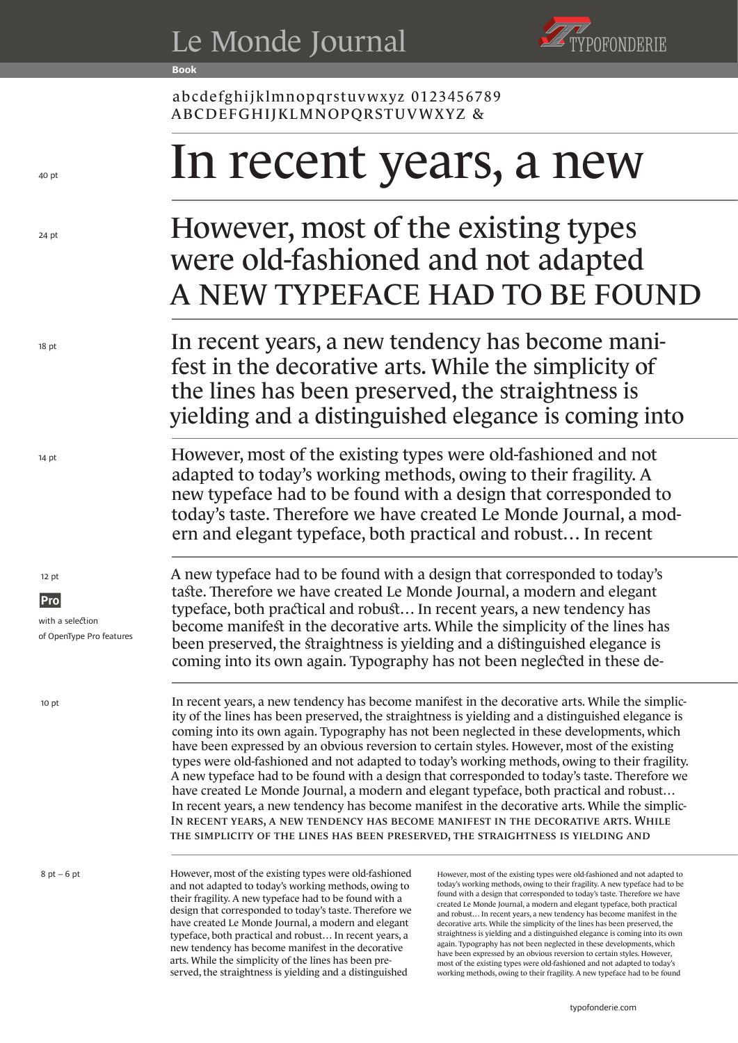**Book**



abcdefghijklmnopqrstuvwxyz 0123456789 ABCDEFGHIJKLMNOPQRSTUVWXYZ &

# In recent years, a new

### A NEW TYPEFACE HAD TO BE FOUND However, most of the existing types were old-fashioned and not adapted

In recent years, a new tendency has become manifest in the decorative arts. While the simplicity of the lines has been preserved, the straightness is yielding and a distinguished elegance is coming into

However, most of the existing types were old-fashioned and not adapted to today's working methods, owing to their fragility. A new typeface had to be found with a design that corresponded to today's taste. Therefore we have created Le Monde Journal, a modern and elegant typeface, both practical and robust… In recent

A new typeface had to be found with a design that corresponded to today's taste. Therefore we have created Le Monde Journal, a modern and elegant typeface, both practical and robust… In recent years, a new tendency has become manifest in the decorative arts. While the simplicity of the lines has been preserved, the straightness is yielding and a distinguished elegance is coming into its own again. Typography has not been neglected in these de-

In recent years, a new tendency has become manifest in the decorative arts. While the simplicity of the lines has been preserved, the straightness is yielding and In recent years, a new tendency has become manifest in the decorative arts. While the simplicity of the lines has been preserved, the straightness is yielding and a distinguished elegance is coming into its own again. Typography has not been neglected in these developments, which have been expressed by an obvious reversion to certain styles. However, most of the existing types were old-fashioned and not adapted to today's working methods, owing to their fragility. A new typeface had to be found with a design that corresponded to today's taste. Therefore we have created Le Monde Journal, a modern and elegant typeface, both practical and robust… In recent years, a new tendency has become manifest in the decorative arts. While the simplic-

However, most of the existing types were old-fashioned and not adapted to today's working methods, owing to their fragility. A new typeface had to be found with a design that corresponded to today's taste. Therefore we have created Le Monde Journal, a modern and elegant typeface, both practical and robust… In recent years, a new tendency has become manifest in the decorative arts. While the simplicity of the lines has been preserved, the straightness is yielding and a distinguished

However, most of the existing types were old-fashioned and not adapted to today's working methods, owing to their fragility. A new typeface had to be found with a design that corresponded to today's taste. Therefore we have created Le Monde Journal, a modern and elegant typeface, both practical and robust… In recent years, a new tendency has become manifest in the decorative arts. While the simplicity of the lines has been preserved, the straightness is yielding and a distinguished elegance is coming into its own again. Typography has not been neglected in these developments, which have been expressed by an obvious reversion to certain styles. However, most of the existing types were old-fashioned and not adapted to today's working methods, owing to their fragility. A new typeface had to be found

12 pt

14 pt

18 pt

24 pt

 $40<sub>nt</sub>$ 

**Pro** with a selection of OpenType Pro features

10 pt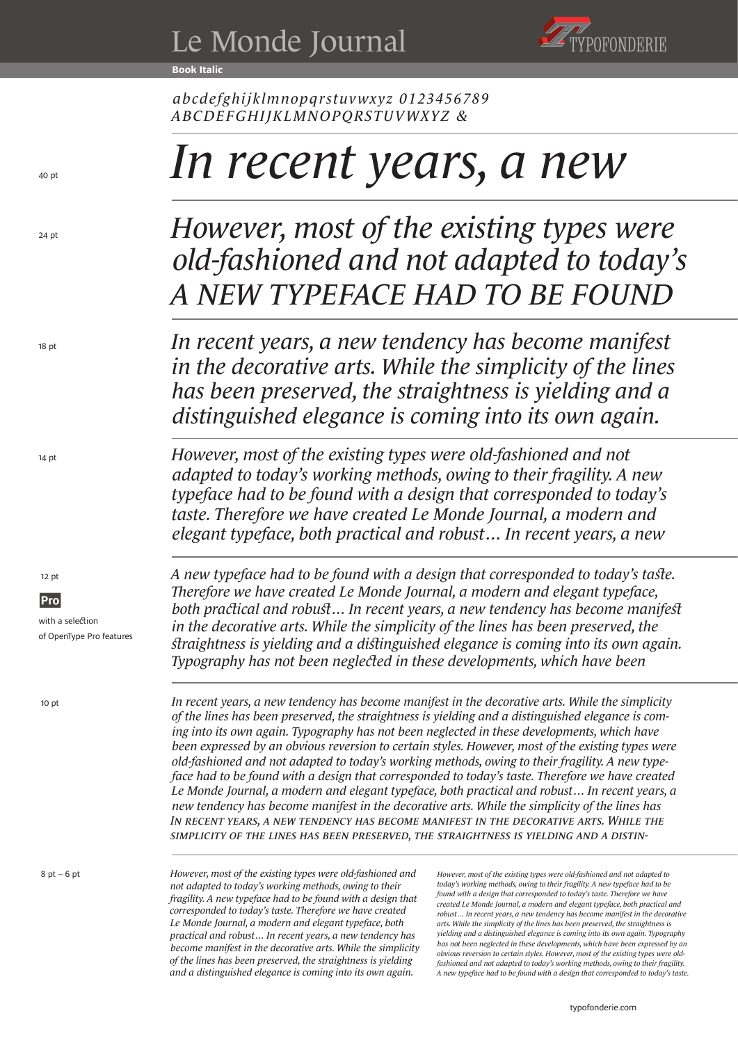**Book Italic**



*abcdefghijklmnopqrstuvwxyz 0123456789 ABCDEFGHIJKLMNOPQRSTUVWXYZ &* 

# *In recent years, a new*

## *A NEW TYPEFACE HAD TO BE FOUND However, most of the existing types were old-fashioned and not adapted to today's*

*In recent years, a new tendency has become manifest in the decorative arts. While the simplicity of the lines has been preserved, the straightness is yielding and a distinguished elegance is coming into its own again.* 

*However, most of the existing types were old-fashioned and not adapted to today's working methods, owing to their fragility. A new typeface had to be found with a design that corresponded to today's taste. Therefore we have created Le Monde Journal, a modern and elegant typeface, both practical and robust… In recent years, a new* 

*A new typeface had to be found with a design that corresponded to today's taste. Therefore we have created Le Monde Journal, a modern and elegant typeface, both practical and robust… In recent years, a new tendency has become manifest in the decorative arts. While the simplicity of the lines has been preserved, the straightness is yielding and a distinguished elegance is coming into its own again. Typography has not been neglected in these developments, which have been* 

IN RECENT YEARS, A NEW TENDENCY HAS BECOME MANIFEST IN THE DECORATIVE ARTS. WHILE THE *simplicity of the lines has been preserved, the straightness is yielding and a distin-In recent years, a new tendency has become manifest in the decorative arts. While the simplicity of the lines has been preserved, the straightness is yielding and a distinguished elegance is coming into its own again. Typography has not been neglected in these developments, which have been expressed by an obvious reversion to certain styles. However, most of the existing types were old-fashioned and not adapted to today's working methods, owing to their fragility. A new typeface had to be found with a design that corresponded to today's taste. Therefore we have created Le Monde Journal, a modern and elegant typeface, both practical and robust… In recent years, a new tendency has become manifest in the decorative arts. While the simplicity of the lines has* 

*However, most of the existing types were old-fashioned and not adapted to today's working methods, owing to their fragility. A new typeface had to be found with a design that corresponded to today's taste. Therefore we have created Le Monde Journal, a modern and elegant typeface, both practical and robust… In recent years, a new tendency has become manifest in the decorative arts. While the simplicity of the lines has been preserved, the straightness is yielding and a distinguished elegance is coming into its own again.* 

*However, most of the existing types were old-fashioned and not adapted to today's working methods, owing to their fragility. A new typeface had to be found with a design that corresponded to today's taste. Therefore we have created Le Monde Journal, a modern and elegant typeface, both practical and robust… In recent years, a new tendency has become manifest in the decorative arts. While the simplicity of the lines has been preserved, the straightness is yielding and a distinguished elegance is coming into its own again. Typography has not been neglected in these developments, which have been expressed by an obvious reversion to certain styles. However, most of the existing types were oldfashioned and not adapted to today's working methods, owing to their fragility. A new typeface had to be found with a design that corresponded to today's taste.* 

12 pt

14 pt

18 pt

24 pt

 $40<sub>nt</sub>$ 

**Pro** with a selection of OpenType Pro features

10 pt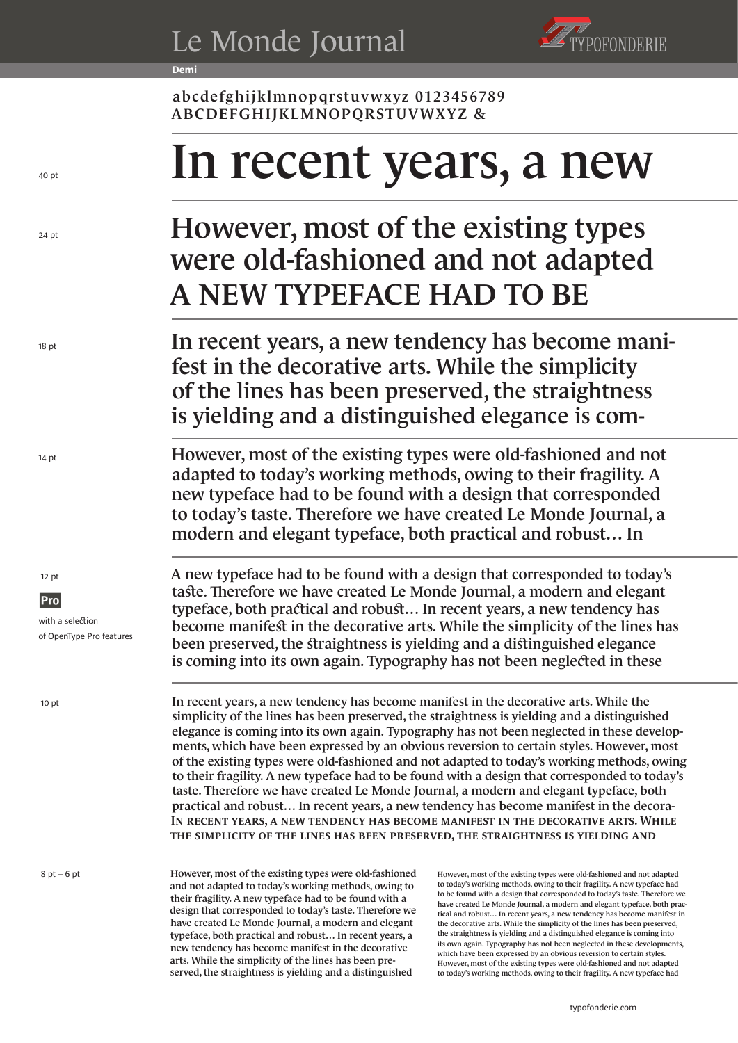**Demi**



abcdefghijklmnopqrstuvwxyz 0123456789 ABCDEFGHIJKLMNOPQRSTUVWXYZ &

# In recent years, a new

### A NEW TYPEFACE HAD TO BE However, most of the existing types were old-fashioned and not adapted

In recent years, a new tendency has become manifest in the decorative arts. While the simplicity of the lines has been preserved, the straightness is yielding and a distinguished elegance is com-

However, most of the existing types were old-fashioned and not adapted to today's working methods, owing to their fragility. A new typeface had to be found with a design that corresponded to today's taste. Therefore we have created Le Monde Journal, a modern and elegant typeface, both practical and robust… In

A new typeface had to be found with a design that corresponded to today's taste. Therefore we have created Le Monde Journal, a modern and elegant typeface, both practical and robust… In recent years, a new tendency has become manifest in the decorative arts. While the simplicity of the lines has been preserved, the straightness is yielding and a distinguished elegance is coming into its own again. Typography has not been neglected in these

In recent years, a new tendency has become manifest in the decorative arts. While the simplicity of the lines has been preserved, the straightness is yielding and In recent years, a new tendency has become manifest in the decorative arts. While the simplicity of the lines has been preserved, the straightness is yielding and a distinguished elegance is coming into its own again. Typography has not been neglected in these developments, which have been expressed by an obvious reversion to certain styles. However, most of the existing types were old-fashioned and not adapted to today's working methods, owing to their fragility. A new typeface had to be found with a design that corresponded to today's taste. Therefore we have created Le Monde Journal, a modern and elegant typeface, both practical and robust… In recent years, a new tendency has become manifest in the decora-

However, most of the existing types were old-fashioned and not adapted to today's working methods, owing to their fragility. A new typeface had to be found with a design that corresponded to today's taste. Therefore we have created Le Monde Journal, a modern and elegant typeface, both practical and robust… In recent years, a new tendency has become manifest in the decorative arts. While the simplicity of the lines has been preserved, the straightness is yielding and a distinguished

However, most of the existing types were old-fashioned and not adapted to today's working methods, owing to their fragility. A new typeface had to be found with a design that corresponded to today's taste. Therefore we have created Le Monde Journal, a modern and elegant typeface, both practical and robust… In recent years, a new tendency has become manifest in the decorative arts. While the simplicity of the lines has been preserved, the straightness is yielding and a distinguished elegance is coming into its own again. Typography has not been neglected in these developments, which have been expressed by an obvious reversion to certain styles. However, most of the existing types were old-fashioned and not adapted to today's working methods, owing to their fragility. A new typeface had

12 pt

14 pt

18 pt

24 pt

 $40<sub>nt</sub>$ 

**Pro** with a selection of OpenType Pro features

10 pt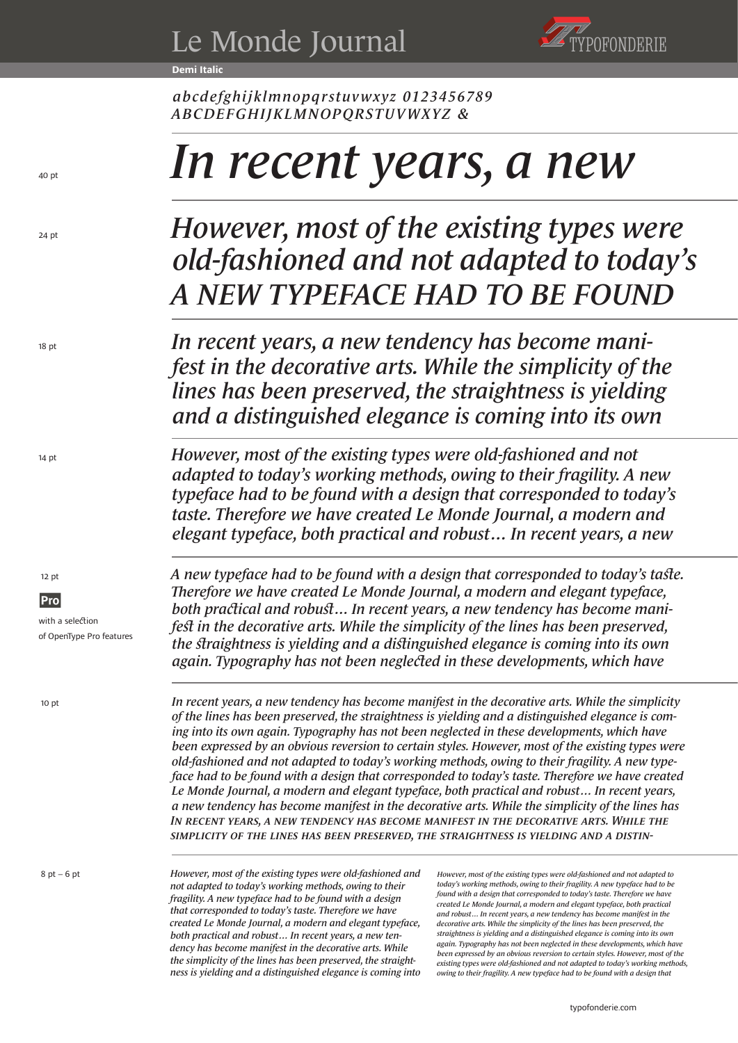**Demi Italic**



*abcdefghijklmnopqrstuvwxyz 0123456789 ABCDEFGHIJKLMNOPQRSTUVWXYZ &* 

# *In recent years, a new*

## *A NEW TYPEFACE HAD TO BE FOUND However, most of the existing types were old-fashioned and not adapted to today's*

*In recent years, a new tendency has become manifest in the decorative arts. While the simplicity of the lines has been preserved, the straightness is yielding and a distinguished elegance is coming into its own* 

*However, most of the existing types were old-fashioned and not adapted to today's working methods, owing to their fragility. A new typeface had to be found with a design that corresponded to today's taste. Therefore we have created Le Monde Journal, a modern and elegant typeface, both practical and robust… In recent years, a new* 

*A new typeface had to be found with a design that corresponded to today's taste. Therefore we have created Le Monde Journal, a modern and elegant typeface, both practical and robust… In recent years, a new tendency has become manifest in the decorative arts. While the simplicity of the lines has been preserved, the straightness is yielding and a distinguished elegance is coming into its own again. Typography has not been neglected in these developments, which have* 

IN RECENT YEARS, A NEW TENDENCY HAS BECOME MANIFEST IN THE DECORATIVE ARTS. WHILE THE *simplicity of the lines has been preserved, the straightness is yielding and a distin-In recent years, a new tendency has become manifest in the decorative arts. While the simplicity of the lines has been preserved, the straightness is yielding and a distinguished elegance is coming into its own again. Typography has not been neglected in these developments, which have been expressed by an obvious reversion to certain styles. However, most of the existing types were old-fashioned and not adapted to today's working methods, owing to their fragility. A new typeface had to be found with a design that corresponded to today's taste. Therefore we have created Le Monde Journal, a modern and elegant typeface, both practical and robust… In recent years, a new tendency has become manifest in the decorative arts. While the simplicity of the lines has* 

*However, most of the existing types were old-fashioned and not adapted to today's working methods, owing to their fragility. A new typeface had to be found with a design that corresponded to today's taste. Therefore we have created Le Monde Journal, a modern and elegant typeface, both practical and robust… In recent years, a new tendency has become manifest in the decorative arts. While the simplicity of the lines has been preserved, the straightness is yielding and a distinguished elegance is coming into* 

 $8$  pt – 6 pt

10 pt

 12 pt **Pro** 

14 pt

18 pt

24 pt

 $40<sub>nt</sub>$ 

with a selection of OpenType Pro features

> *However, most of the existing types were old-fashioned and not adapted to today's working methods, owing to their fragility. A new typeface had to be found with a design that corresponded to today's taste. Therefore we have created Le Monde Journal, a modern and elegant typeface, both practical and robust… In recent years, a new tendency has become manifest in the decorative arts. While the simplicity of the lines has been preserved, the straightness is yielding and a distinguished elegance is coming into its own again. Typography has not been neglected in these developments, which have been expressed by an obvious reversion to certain styles. However, most of the existing types were old-fashioned and not adapted to today's working methods, owing to their fragility. A new typeface had to be found with a design that*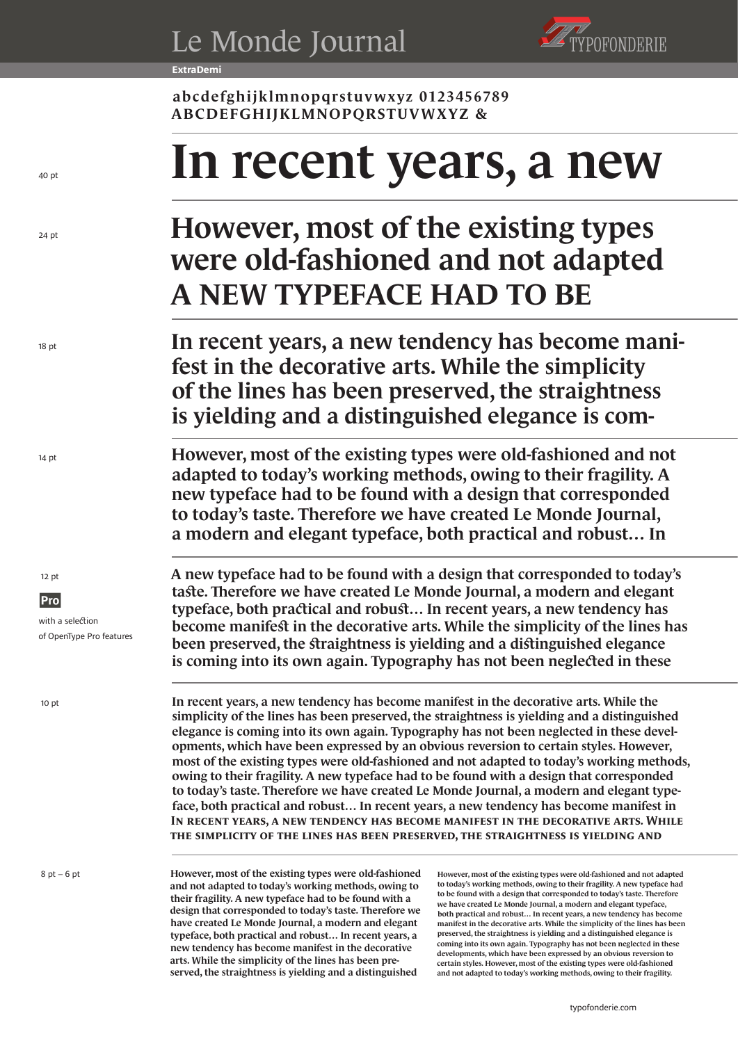**ExtraDemi**



abcdefghijklmnopqrstuvwxyz 0123456789 ABCDEFGHIJKLMNOPQRSTUVWXYZ &

# In recent years, a new

## A NEW TYPEFACE HAD TO BE However, most of the existing types were old-fashioned and not adapted

In recent years, a new tendency has become manifest in the decorative arts. While the simplicity of the lines has been preserved, the straightness is yielding and a distinguished elegance is com-

However, most of the existing types were old-fashioned and not adapted to today's working methods, owing to their fragility. A new typeface had to be found with a design that corresponded to today's taste. Therefore we have created Le Monde Journal, a modern and elegant typeface, both practical and robust… In

A new typeface had to be found with a design that corresponded to today's taste. Therefore we have created Le Monde Journal, a modern and elegant typeface, both practical and robust… In recent years, a new tendency has become manifest in the decorative arts. While the simplicity of the lines has been preserved, the straightness is yielding and a distinguished elegance is coming into its own again. Typography has not been neglected in these

In recent years, a new tendency has become manifest in the decorative arts. While the simplicity of the lines has been preserved, the straightness is yielding and In recent years, a new tendency has become manifest in the decorative arts. While the simplicity of the lines has been preserved, the straightness is yielding and a distinguished elegance is coming into its own again. Typography has not been neglected in these developments, which have been expressed by an obvious reversion to certain styles. However, most of the existing types were old-fashioned and not adapted to today's working methods, owing to their fragility. A new typeface had to be found with a design that corresponded to today's taste. Therefore we have created Le Monde Journal, a modern and elegant typeface, both practical and robust… In recent years, a new tendency has become manifest in

However, most of the existing types were old-fashioned and not adapted to today's working methods, owing to their fragility. A new typeface had to be found with a design that corresponded to today's taste. Therefore we have created Le Monde Journal, a modern and elegant typeface, both practical and robust… In recent years, a new tendency has become manifest in the decorative arts. While the simplicity of the lines has been preserved, the straightness is yielding and a distinguished

However, most of the existing types were old-fashioned and not adapted to today's working methods, owing to their fragility. A new typeface had to be found with a design that corresponded to today's taste. Therefore we have created Le Monde Journal, a modern and elegant typeface, both practical and robust… In recent years, a new tendency has become manifest in the decorative arts. While the simplicity of the lines has been preserved, the straightness is yielding and a distinguished elegance is coming into its own again. Typography has not been neglected in these developments, which have been expressed by an obvious reversion to certain styles. However, most of the existing types were old-fashioned and not adapted to today's working methods, owing to their fragility.

12 pt

14 pt

18 pt

24 pt

 $40<sub>nt</sub>$ 

**Pro** with a selection of OpenType Pro features

10 pt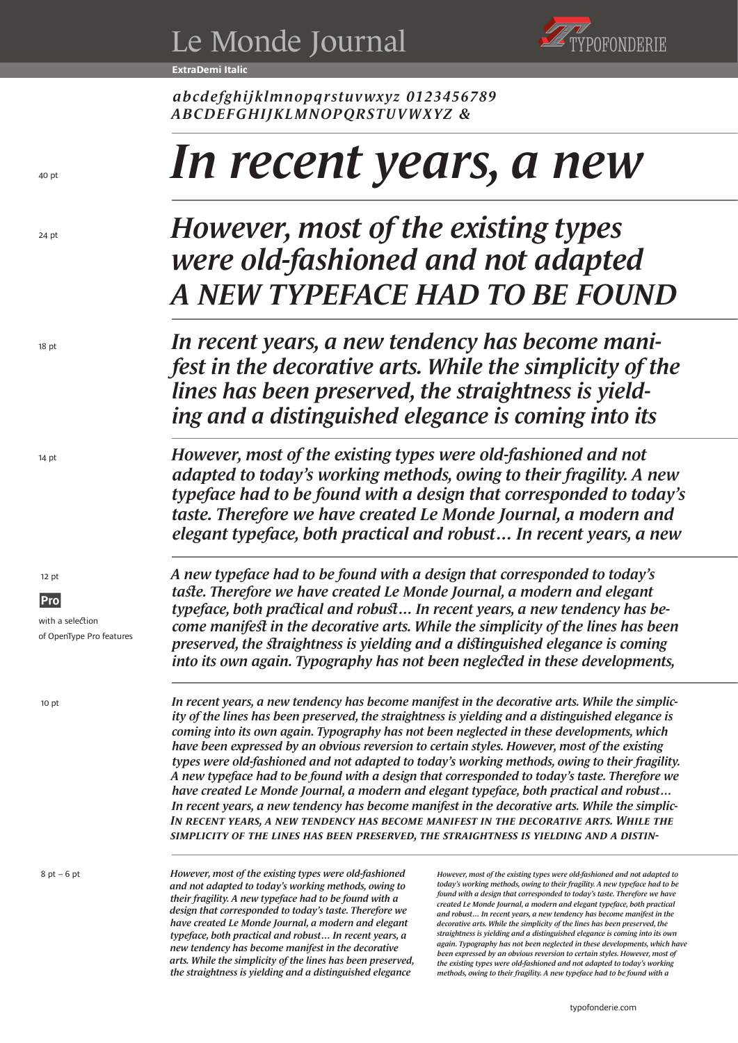**ExtraDemi Italic**



*abcdefghijklmnopqrstuvwxyz 0123456789 ABCDEFGHIJKLMNOPQRSTUVWXYZ &*

# *In recent years, a new*

## *A NEW TYPEFACE HAD TO BE FOUND However, most of the existing types were old-fashioned and not adapted*

*In recent years, a new tendency has become manifest in the decorative arts. While the simplicity of the lines has been preserved, the straightness is yielding and a distinguished elegance is coming into its* 

*However, most of the existing types were old-fashioned and not adapted to today's working methods, owing to their fragility. A new typeface had to be found with a design that corresponded to today's taste. Therefore we have created Le Monde Journal, a modern and elegant typeface, both practical and robust… In recent years, a new* 

*A new typeface had to be found with a design that corresponded to today's taste. Therefore we have created Le Monde Journal, a modern and elegant typeface, both practical and robust… In recent years, a new tendency has become manifest in the decorative arts. While the simplicity of the lines has been preserved, the straightness is yielding and a distinguished elegance is coming into its own again. Typography has not been neglected in these developments,* 

IN RECENT YEARS, A NEW TENDENCY HAS BECOME MANIFEST IN THE DECORATIVE ARTS. WHILE THE *simplicity of the lines has been preserved, the straightness is yielding and a distin-In recent years, a new tendency has become manifest in the decorative arts. While the simplicity of the lines has been preserved, the straightness is yielding and a distinguished elegance is coming into its own again. Typography has not been neglected in these developments, which have been expressed by an obvious reversion to certain styles. However, most of the existing types were old-fashioned and not adapted to today's working methods, owing to their fragility. A new typeface had to be found with a design that corresponded to today's taste. Therefore we have created Le Monde Journal, a modern and elegant typeface, both practical and robust… In recent years, a new tendency has become manifest in the decorative arts. While the simplic-*

*However, most of the existing types were old-fashioned and not adapted to today's working methods, owing to their fragility. A new typeface had to be found with a design that corresponded to today's taste. Therefore we have created Le Monde Journal, a modern and elegant typeface, both practical and robust… In recent years, a new tendency has become manifest in the decorative arts. While the simplicity of the lines has been preserved, the straightness is yielding and a distinguished elegance* 

*However, most of the existing types were old-fashioned and not adapted to today's working methods, owing to their fragility. A new typeface had to be found with a design that corresponded to today's taste. Therefore we have created Le Monde Journal, a modern and elegant typeface, both practical and robust… In recent years, a new tendency has become manifest in the decorative arts. While the simplicity of the lines has been preserved, the straightness is yielding and a distinguished elegance is coming into its own again. Typography has not been neglected in these developments, which have been expressed by an obvious reversion to certain styles. However, most of the existing types were old-fashioned and not adapted to today's working methods, owing to their fragility. A new typeface had to be found with a* 

12 pt

14 pt

18 pt

24 pt

 $40<sub>nt</sub>$ 

**Pro** with a selection

of OpenType Pro features

10 pt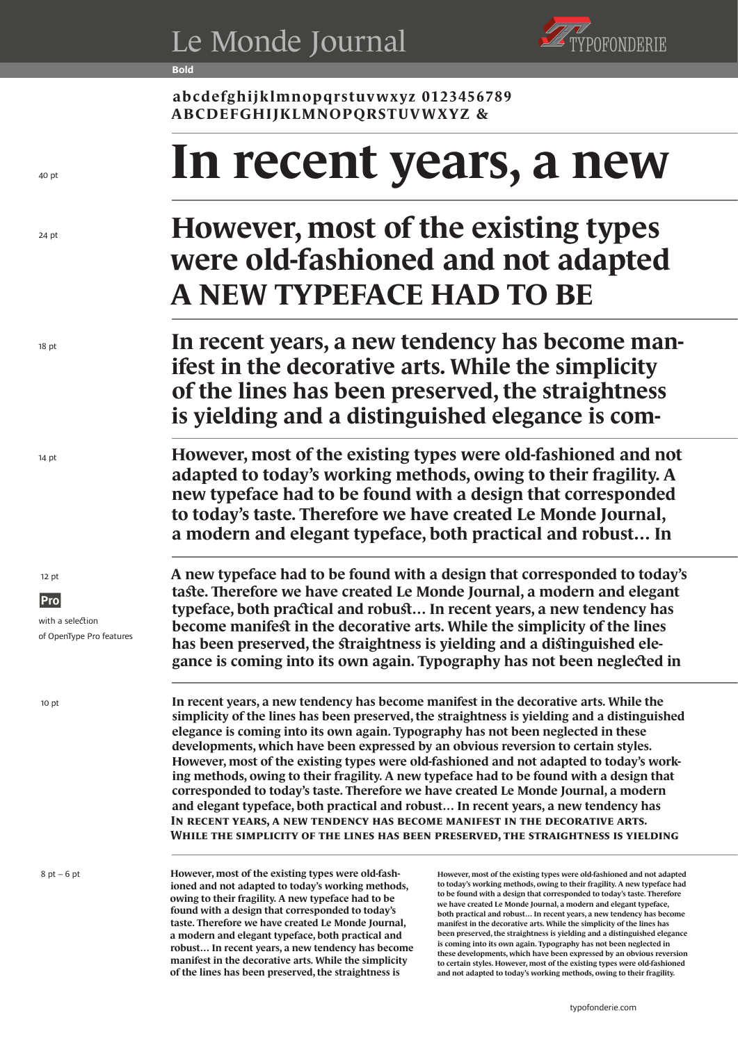**Bold**



**abcdefghijklmnopqrstuvwxyz 0123456789 ABCDEFGHIJKLMNOPQRSTUVWXYZ &** 

# **In recent years, a new**

### **A NEW TYPEFACE HAD TO BE However, most of the existing types were old-fashioned and not adapted**

**In recent years, a new tendency has become manifest in the decorative arts. While the simplicity of the lines has been preserved, the straightness is yielding and a distinguished elegance is com-**

**However, most of the existing types were old-fashioned and not adapted to today's working methods, owing to their fragility. A new typeface had to be found with a design that corresponded to today's taste. Therefore we have created Le Monde Journal, a modern and elegant typeface, both practical and robust… In** 

**A new typeface had to be found with a design that corresponded to today's taste. Therefore we have created Le Monde Journal, a modern and elegant typeface, both practical and robust… In recent years, a new tendency has become manifest in the decorative arts. While the simplicity of the lines has been preserved, the straightness is yielding and a distinguished elegance is coming into its own again. Typography has not been neglected in** 

**In recent years, a new tendency has become manifest in the decorative arts. While the simplicity of the lines has been preserved, the straightness is yielding In recent years, a new tendency has become manifest in the decorative arts. While the simplicity of the lines has been preserved, the straightness is yielding and a distinguished elegance is coming into its own again. Typography has not been neglected in these developments, which have been expressed by an obvious reversion to certain styles. However, most of the existing types were old-fashioned and not adapted to today's working methods, owing to their fragility. A new typeface had to be found with a design that corresponded to today's taste. Therefore we have created Le Monde Journal, a modern and elegant typeface, both practical and robust… In recent years, a new tendency has** 

**However, most of the existing types were old-fashioned and not adapted to today's working methods, owing to their fragility. A new typeface had to be found with a design that corresponded to today's taste. Therefore we have created Le Monde Journal, a modern and elegant typeface, both practical and robust… In recent years, a new tendency has become manifest in the decorative arts. While the simplicity of the lines has been preserved, the straightness is** 

**However, most of the existing types were old-fashioned and not adapted to today's working methods, owing to their fragility. A new typeface had to be found with a design that corresponded to today's taste. Therefore we have created Le Monde Journal, a modern and elegant typeface, both practical and robust… In recent years, a new tendency has become manifest in the decorative arts. While the simplicity of the lines has been preserved, the straightness is yielding and a distinguished elegance is coming into its own again. Typography has not been neglected in these developments, which have been expressed by an obvious reversion to certain styles. However, most of the existing types were old-fashioned and not adapted to today's working methods, owing to their fragility.** 

12 pt

14 pt

18 pt

24 pt

 $40<sub>nt</sub>$ 

**Pro** with a selection of OpenType Pro features

10 pt